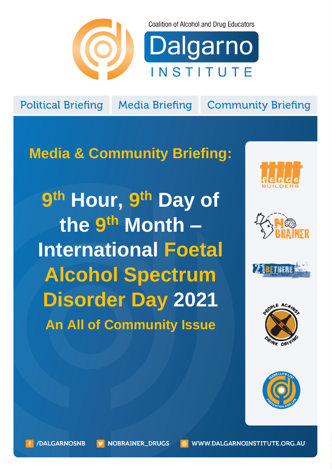

**Coalition of Alcohol and Drug Educators** 



**Political Briefing** 

**Media Briefing** 

**Community Briefing** 

# **Media & Community Briefing:**

**9 th Hour, 9 th Day of the 9 th Month – International Foetal Alcohol Spectrum Disorder Day 2021 An All of Community Issue**









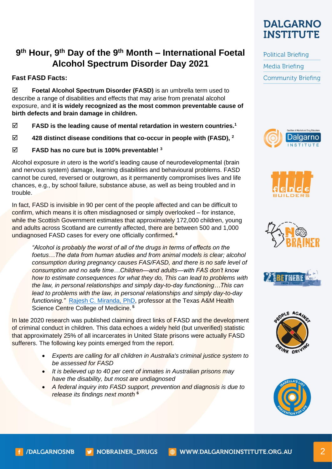## **9 th Hour, 9th Day of the 9th Month – International Foetal Alcohol Spectrum Disorder Day 2021**

### **Fast FASD Facts:**

 **Foetal Alcohol Spectrum Disorder (FASD)** is an umbrella term used to describe a range of disabilities and effects that may arise from prenatal alcohol exposure, and **it is widely recognized as the most common preventable cause of birth defects and brain damage in children.**

- **FASD is the leading cause of mental retardation in western countries.<sup>1</sup>**
- **428 distinct disease conditions that co-occur in people with (FASD), <sup>2</sup>**
- **FASD has no cure but is 100% preventable! <sup>3</sup>**

Alcohol exposure *in utero* is the world's leading cause of neurodevelopmental (brain and nervous system) damage, learning disabilities and behavioural problems. FASD cannot be cured, reversed or outgrown, as it permanently compromises lives and life chances, e.g., by school failure, substance abuse, as well as being troubled and in trouble.

In fact, FASD is invisible in 90 per cent of the people affected and can be difficult to confirm, which means it is often misdiagnosed or simply overlooked – for instance, while the Scottish Government estimates that approximately 172,000 children, young and adults across Scotland are currently affected, there are between 500 and 1,000 undiagnosed FASD cases for every one officially confirmed**. 4** 

*"Alcohol is probably the worst of all of the drugs in terms of effects on the foetus…The data from human studies and from animal models is clear; alcohol consumption during pregnancy causes FAS/FASD, and there is no safe level of consumption and no safe time…Children—and adults—with FAS don't know how to estimate consequences for what they do, This can lead to problems with the law, in personal relationships and simply day-to-day functioning…This can lead to problems with the law, in personal relationships and simply day-to-day functioning."* [Rajesh C. Miranda,](https://www.tamhsc.edu/experts/miranda.html) PhD, professor at the Texas A&M Health Science Centre College of Medicine. **<sup>5</sup>**

In late 2020 research was published claiming direct links of FASD and the development of criminal conduct in children. This data echoes a widely held (but unverified) statistic that approximately 25% of all incarcerates in United State prisons were actually FASD sufferers. The following key points emerged from the report.

- *Experts are calling for all children in Australia's criminal justice system to be assessed for FASD*
- *It is believed up to 40 per cent of inmates in Australian prisons may have the disability, but most are undiagnosed*
- *A federal inquiry into FASD support, prevention and diagnosis is due to release its findings next month* **<sup>6</sup>**



**Political Briefing Media Briefing Community Briefing** 











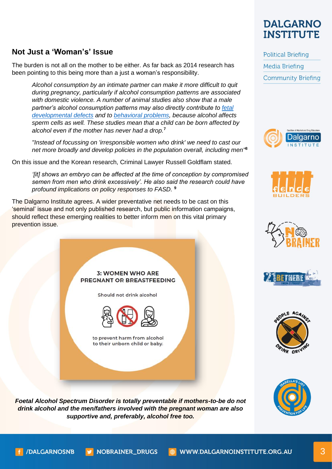# **DALGARNO INSTITUTE**

**Community Briefing** 

**Political Briefing** 

**Media Briefing** 

## **Not Just a 'Woman's' Issue**

The burden is not all on the mother to be either. As far back as 2014 research has been pointing to this being more than a just a woman's responsibility.

*Alcohol consumption by an intimate partner can make it more difficult to quit during pregnancy, particularly if alcohol consumption patterns are associated with domestic violence. A number of animal studies also show that a male partner's alcohol consumption patterns may also directly contribute to [fetal](http://www.tandfonline.com/doi/abs/10.1080/19768354.2013.865675)  [developmental defects](http://www.tandfonline.com/doi/abs/10.1080/19768354.2013.865675) and to [behavioral problems,](http://journals.plos.org/plosone/article?id=10.1371/journal.pone.0099078) because alcohol affects sperm cells as well. These studies mean that a child can be born affected by alcohol even if the mother has never had a drop.***<sup>7</sup>**

*"Instead of focussing on 'irresponsible women who drink' we need to cast our net more broadly and develop policies in the population overall, including men"* **8**

On this issue and the Korean research, Criminal Lawyer Russell Goldflam stated.

*'[it] shows an embryo can be affected at the time of conception by compromised semen from men who drink excessively'. He also said the research could have profound implications on policy responses to FASD.* **9**

The Dalgarno Institute agrees. A wider preventative net needs to be cast on this 'seminal' issue and not only published research, but public information campaigns, should reflect these emerging realities to better inform men on this vital primary prevention issue.

#### **3: WOMEN WHO ARE** PREGNANT OR BREASTFEEDING

Should not drink alcohol



to prevent harm from alcohol to their unborn child or baby.













*Foetal Alcohol Spectrum Disorder is totally preventable if mothers-to-be do not drink alcohol and the men/fathers involved with the pregnant woman are also supportive and, preferably, alcohol free too.*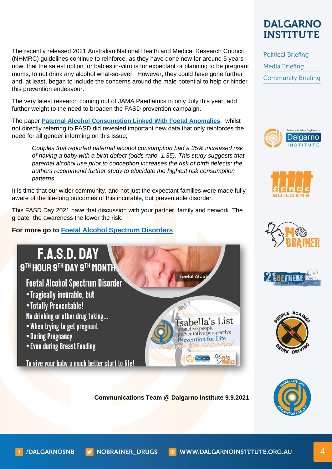The recently released 2021 Australian National Health and Medical Research Council (NHMRC) guidelines continue to reinforce, as they have done now for around 5 years now, that the safest option for babies in-vitro is for expectant or planning to be pregnant mums, to not drink any alcohol what-so-ever. However, they could have gone further and, at least, began to include the concerns around the male potential to help or hinder this prevention endeavour.

The very latest research coming out of JAMA Paediatrics in only July this year, add further weight to the need to broaden the FASD prevention campaign.

The paper **[Paternal Alcohol Consumption Linked With Foetal Anomalies](https://www.bu.edu/aodhealth/2021/08/27/paternal-alcohol-consumption-linked-with-fetal-anomalies/)**, whilst not directly referring to FASD did revealed important new data that only reinforces the need for all gender informing on this issue;

*Couples that reported paternal alcohol consumption had a 35% increased risk of having a baby with a birth defect (odds ratio, 1.35). This study suggests that paternal alcohol use prior to conception increases the risk of birth defects; the authors recommend further study to elucidate the highest risk consumption patterns*

It is time that our wider community, and not just the expectant families were made fully aware of the life-long outcomes of this incurable, but preventable disorder.

This FASD Day 2021 have that discussion with your partner, family and network. The greater the awareness the lower the risk.

**For more go to [Foetal Alcohol Spectrum Disorders](https://www.dalgarnoinstitute.org.au/advocacy/foetal-alcohol-spectrum-disorders.html)** 



• Even during Breast Feeding

To give your baby a much better start to life!

**Communications Team @ Dalgarno Institute 9.9.2021**

Foetal Alco

sabella's List

Prevention for Life

proactive people proactive people<br>preventative perspective



**Political Briefing Media Briefing Community Briefing** 













**NOBRAINER\_DRUGS** 

WWW.DALGARNOINSTITUTE.ORG.AU